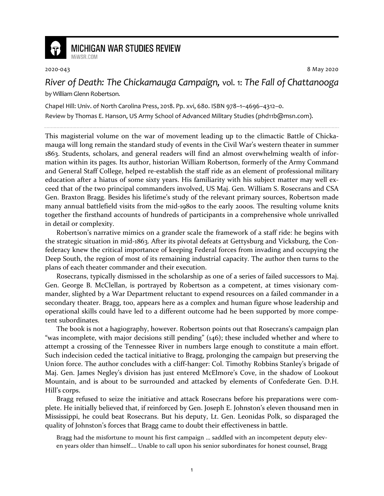

## **MICHIGAN WAR STUDIES REVIEW** MiWSR COM

2020-043 8 May 2020

*River of Death: The Chickamauga Campaign,* vol. 1: *The Fall of Chattanooga* by William Glenn Robertson.

Chapel Hill: Univ. of North Carolina Press, 2018. Pp. xvi, 680. ISBN 978–1–4696–4312–0.

Review by Thomas E. Hanson, US Army School of Advanced Military Studies (phd11b@msn.com).

This magisterial volume on the war of movement leading up to the climactic Battle of Chickamauga will long remain the standard study of events in the Civil War's western theater in summer 1863. Students, scholars, and general readers will find an almost overwhelming wealth of information within its pages. Its author, historian William Robertson, formerly of the Army Command and General Staff College, helped re-establish the staff ride as an element of professional military education after a hiatus of some sixty years. His familiarity with his subject matter may well exceed that of the two principal commanders involved, US Maj. Gen. William S. Rosecrans and CSA Gen. Braxton Bragg. Besides his lifetime's study of the relevant primary sources, Robertson made many annual battlefield visits from the mid-1980s to the early 2000s. The resulting volume knits together the firsthand accounts of hundreds of participants in a comprehensive whole unrivalled in detail or complexity.

Robertson's narrative mimics on a grander scale the framework of a staff ride: he begins with the strategic situation in mid-1863. After its pivotal defeats at Gettysburg and Vicksburg, the Confederacy knew the critical importance of keeping Federal forces from invading and occupying the Deep South, the region of most of its remaining industrial capacity. The author then turns to the plans of each theater commander and their execution.

Rosecrans, typically dismissed in the scholarship as one of a series of failed successors to Maj. Gen. George B. McClellan, is portrayed by Robertson as a competent, at times visionary commander, slighted by a War Department reluctant to expend resources on a failed commander in a secondary theater. Bragg, too, appears here as a complex and human figure whose leadership and operational skills could have led to a different outcome had he been supported by more competent subordinates.

The book is not a hagiography, however. Robertson points out that Rosecrans's campaign plan "was incomplete, with major decisions still pending" (146); these included whether and where to attempt a crossing of the Tennessee River in numbers large enough to constitute a main effort. Such indecision ceded the tactical initiative to Bragg, prolonging the campaign but preserving the Union force. The author concludes with a cliff-hanger: Col. Timothy Robbins Stanley's brigade of Maj. Gen. James Negley's division has just entered McElmore's Cove, in the shadow of Lookout Mountain, and is about to be surrounded and attacked by elements of Confederate Gen. D.H. Hill's corps.

Bragg refused to seize the initiative and attack Rosecrans before his preparations were complete. He initially believed that, if reinforced by Gen. Joseph E. Johnston's eleven thousand men in Mississippi, he could beat Rosecrans. But his deputy, Lt. Gen. Leonidas Polk, so disparaged the quality of Johnston's forces that Bragg came to doubt their effectiveness in battle.

Bragg had the misfortune to mount his first campaign … saddled with an incompetent deputy eleven years older than himself…. Unable to call upon his senior subordinates for honest counsel, Bragg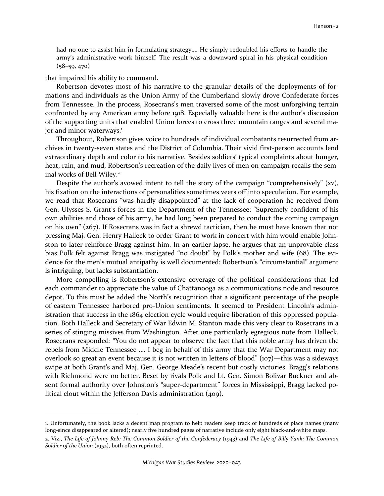had no one to assist him in formulating strategy…. He simply redoubled his efforts to handle the army's administrative work himself. The result was a downward spiral in his physical condition  $(58-59, 470)$ 

that impaired his ability to command.

Robertson devotes most of his narrative to the granular details of the deployments of formations and individuals as the Union Army of the Cumberland slowly drove Confederate forces from Tennessee. In the process, Rosecrans's men traversed some of the most unforgiving terrain confronted by any American army before 1918. Especially valuable here is the author's discussion of the supporting units that enabled Union forces to cross three mountain ranges and several major and minor waterways.<sup>1</sup>

Throughout, Robertson gives voice to hundreds of individual combatants resurrected from archives in twenty-seven states and the District of Columbia. Their vivid first-person accounts lend extraordinary depth and color to his narrative. Besides soldiers' typical complaints about hunger, heat, rain, and mud, Robertson's recreation of the daily lives of men on campaign recalls the seminal works of Bell Wiley.<sup>2</sup>

Despite the author's avowed intent to tell the story of the campaign "comprehensively" (xv), his fixation on the interactions of personalities sometimes veers off into speculation. For example, we read that Rosecrans "was hardly disappointed" at the lack of cooperation he received from Gen. Ulysses S. Grant's forces in the Department of the Tennessee: "Supremely confident of his own abilities and those of his army, he had long been prepared to conduct the coming campaign on his own" (267). If Rosecrans was in fact a shrewd tactician, then he must have known that not pressing Maj. Gen. Henry Halleck to order Grant to work in concert with him would enable Johnston to later reinforce Bragg against him. In an earlier lapse, he argues that an unprovable class bias Polk felt against Bragg was instigated "no doubt" by Polk's mother and wife (68). The evidence for the men's mutual antipathy is well documented; Robertson's "circumstantial" argument is intriguing, but lacks substantiation.

More compelling is Robertson's extensive coverage of the political considerations that led each commander to appreciate the value of Chattanooga as a communications node and resource depot. To this must be added the North's recognition that a significant percentage of the people of eastern Tennessee harbored pro-Union sentiments. It seemed to President Lincoln's administration that success in the 1864 election cycle would require liberation of this oppressed population. Both Halleck and Secretary of War Edwin M. Stanton made this very clear to Rosecrans in a series of stinging missives from Washington. After one particularly egregious note from Halleck, Rosecrans responded: "You do not appear to observe the fact that this noble army has driven the rebels from Middle Tennessee …. I beg in behalf of this army that the War Department may not overlook so great an event because it is not written in letters of blood" (107)—this was a sideways swipe at both Grant's and Maj. Gen. George Meade's recent but costly victories. Bragg's relations with Richmond were no better. Beset by rivals Polk and Lt. Gen. Simon Bolivar Buckner and absent formal authority over Johnston's "super-department" forces in Mississippi, Bragg lacked political clout within the Jefferson Davis administration (409).

<sup>1.</sup> Unfortunately, the book lacks a decent map program to help readers keep track of hundreds of place names (many long-since disappeared or altered); nearly five hundred pages of narrative include only eight black-and-white maps.

<sup>2.</sup> Viz., *The Life of Johnny Reb: The Common Soldier of the Confederacy* (1943) and *The Life of Billy Yank: The Common Soldier of the Union* (1952), both often reprinted.